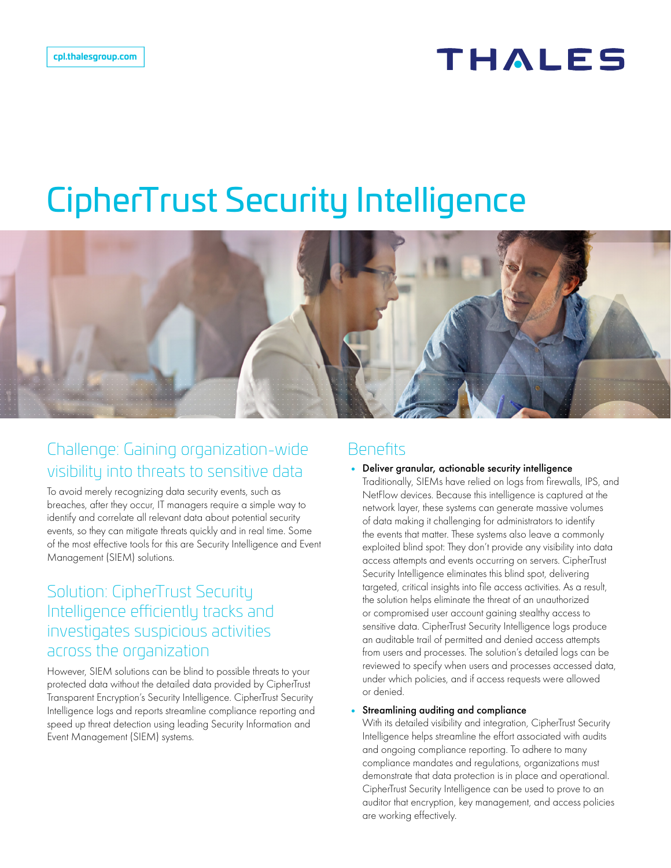## THALES

# CipherTrust Security Intelligence



## Challenge: Gaining organization-wide visibility into threats to sensitive data

To avoid merely recognizing data security events, such as breaches, after they occur, IT managers require a simple way to identify and correlate all relevant data about potential security events, so they can mitigate threats quickly and in real time. Some of the most effective tools for this are Security Intelligence and Event Management (SIEM) solutions.

## Solution: CipherTrust Security Intelligence efficiently tracks and investigates suspicious activities across the organization

However, SIEM solutions can be blind to possible threats to your protected data without the detailed data provided by CipherTrust Transparent Encryption's Security Intelligence. CipherTrust Security Intelligence logs and reports streamline compliance reporting and speed up threat detection using leading Security Information and Event Management (SIEM) systems.

## **Benefits**

• Deliver granular, actionable security intelligence Traditionally, SIEMs have relied on logs from firewalls, IPS, and NetFlow devices. Because this intelligence is captured at the network layer, these systems can generate massive volumes of data making it challenging for administrators to identify the events that matter. These systems also leave a commonly exploited blind spot: They don't provide any visibility into data access attempts and events occurring on servers. CipherTrust Security Intelligence eliminates this blind spot, delivering targeted, critical insights into file access activities. As a result, the solution helps eliminate the threat of an unauthorized or compromised user account gaining stealthy access to sensitive data. CipherTrust Security Intelligence logs produce an auditable trail of permitted and denied access attempts from users and processes. The solution's detailed logs can be reviewed to specify when users and processes accessed data, under which policies, and if access requests were allowed or denied.

#### Streamlining auditing and compliance

With its detailed visibility and integration, CipherTrust Security Intelligence helps streamline the effort associated with audits and ongoing compliance reporting. To adhere to many compliance mandates and regulations, organizations must demonstrate that data protection is in place and operational. CipherTrust Security Intelligence can be used to prove to an auditor that encryption, key management, and access policies are working effectively.